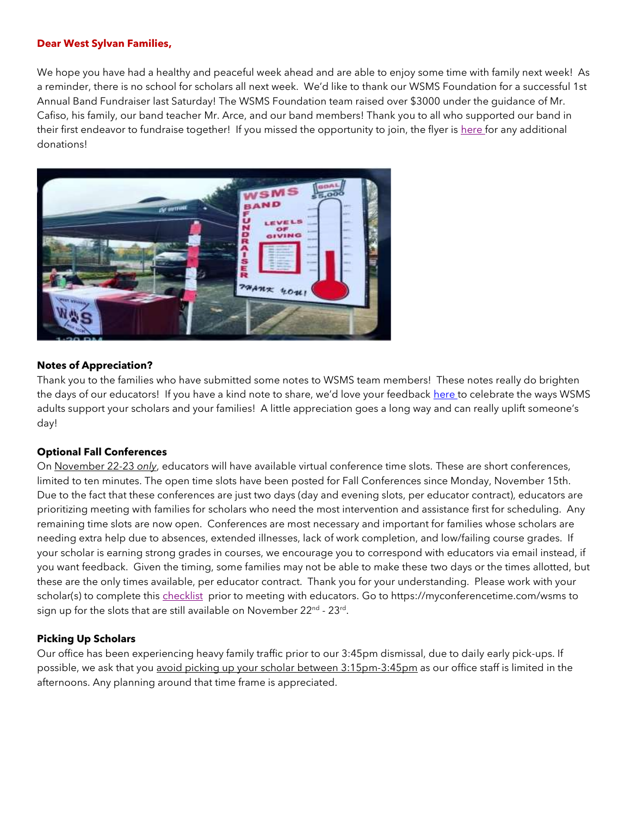#### **Dear West Sylvan Families,**

We hope you have had a healthy and peaceful week ahead and are able to enjoy some time with family next week! As a reminder, there is no school for scholars all next week. We'd like to thank our WSMS Foundation for a successful 1st Annual Band Fundraiser last Saturday! The WSMS Foundation team raised over \$3000 under the guidance of Mr. Cafiso, his family, our band teacher Mr. Arce, and our band members! Thank you to all who supported our band in their first endeavor to fundraise together! If you missed the opportunity to join, the flyer is [here f](https://drive.google.com/file/d/19ER_E2cYfBkO8GXwntDaTRpTDkRijdNU/view?usp=sharing)or any additional donations!



#### **Notes of Appreciation?**

Thank you to the families who have submitted some notes to WSMS team members! These notes really do brighten the days of our educators! If you have a kind note to share, we'd love your feedback [here t](https://forms.gle/3TsJKYDfcfbLhiKu7)o celebrate the ways WSMS adults support your scholars and your families! A little appreciation goes a long way and can really uplift someone's day!

#### **Optional Fall Conferences**

On November 22-23 *only*, educators will have available virtual conference time slots. These are short conferences, limited to ten minutes. The open time slots have been posted for Fall Conferences since Monday, November 15th. Due to the fact that these conferences are just two days (day and evening slots, per educator contract), educators are prioritizing meeting with families for scholars who need the most intervention and assistance first for scheduling. Any remaining time slots are now open. Conferences are most necessary and important for families whose scholars are needing extra help due to absences, extended illnesses, lack of work completion, and low/failing course grades. If your scholar is earning strong grades in courses, we encourage you to correspond with educators via email instead, if you want feedback. Given the timing, some families may not be able to make these two days or the times allotted, but these are the only times available, per educator contract. Thank you for your understanding. Please work with your scholar(s) to complete this [checklist](../../../../../Downloads/Family%20Pre-Conference%20Checklist%20.pdf) prior to meeting with educators. Go to https://myconferencetime.com/wsms to sign up for the slots that are still available on November 22<sup>nd</sup> - 23<sup>rd</sup>.

### **Picking Up Scholars**

Our office has been experiencing heavy family traffic prior to our 3:45pm dismissal, due to daily early pick-ups. If possible, we ask that you avoid picking up your scholar between 3:15pm-3:45pm as our office staff is limited in the afternoons. Any planning around that time frame is appreciated.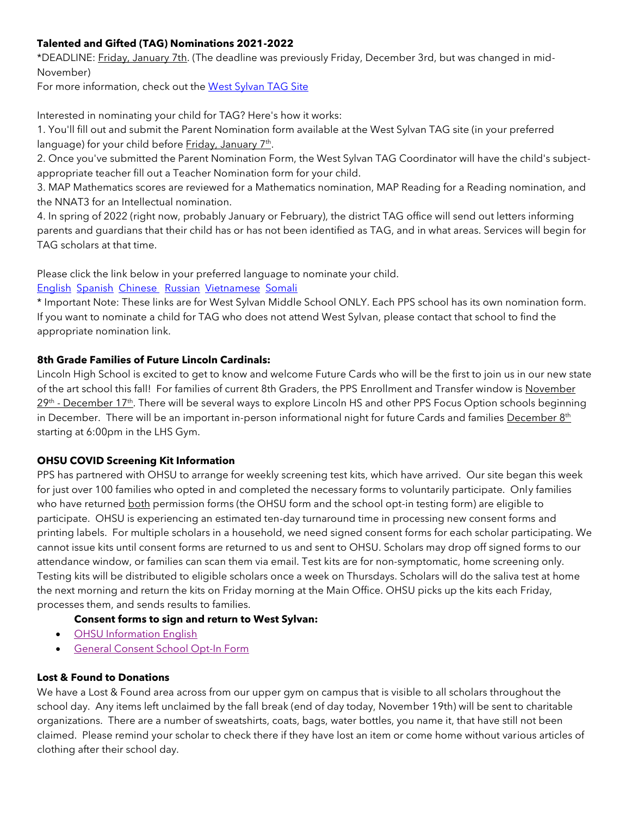# **Talented and Gifted (TAG) Nominations 2021-2022**

\*DEADLINE: Friday, January 7th. (The deadline was previously Friday, December 3rd, but was changed in mid-November)

For more information, check out the [West Sylvan TAG Site](https://sites.google.com/pps.net/west-sylvan-tag/)

Interested in nominating your child for TAG? Here's how it works:

1. You'll fill out and submit the Parent Nomination form available at the West Sylvan TAG site (in your preferred language) for your child before <u>Friday, January 7th</u>.

2. Once you've submitted the Parent Nomination Form, the West Sylvan TAG Coordinator will have the child's subjectappropriate teacher fill out a Teacher Nomination form for your child.

3. MAP Mathematics scores are reviewed for a Mathematics nomination, MAP Reading for a Reading nomination, and the NNAT3 for an Intellectual nomination.

4. In spring of 2022 (right now, probably January or February), the district TAG office will send out letters informing parents and guardians that their child has or has not been identified as TAG, and in what areas. Services will begin for TAG scholars at that time.

Please click the link below in your preferred language to nominate your child.

## [English](https://forms.gle/oKdyah1MXX1eN8WB6) [Spanish](https://forms.gle/b6VJZP69C2gqsgN3A) [Chinese](https://forms.gle/xd5drKJcwbqSYQXAA) [Russian](https://forms.gle/LmChwsdKZ1svWoB76) [Vietnamese](https://forms.gle/2sEfWP7EReDPZzRV7) [Somali](https://forms.gle/F4QvUYHYnHJEBtNMA)

\* Important Note: These links are for West Sylvan Middle School ONLY. Each PPS school has its own nomination form. If you want to nominate a child for TAG who does not attend West Sylvan, please contact that school to find the appropriate nomination link.

## **8th Grade Families of Future Lincoln Cardinals:**

Lincoln High School is excited to get to know and welcome Future Cards who will be the first to join us in our new state of the art school this fall! For families of current 8th Graders, the PPS Enrollment and Transfer window is November 29<sup>th</sup> - December 17<sup>th</sup>. There will be several ways to explore Lincoln HS and other PPS Focus Option schools beginning in December. There will be an important in-person informational night for future Cards and families December 8<sup>th</sup> starting at 6:00pm in the LHS Gym.

## **OHSU COVID Screening Kit Information**

PPS has partnered with OHSU to arrange for weekly screening test kits, which have arrived. Our site began this week for just over 100 families who opted in and completed the necessary forms to voluntarily participate. Only families who have returned both permission forms (the OHSU form and the school opt-in testing form) are eligible to participate. OHSU is experiencing an estimated ten-day turnaround time in processing new consent forms and printing labels. For multiple scholars in a household, we need signed consent forms for each scholar participating. We cannot issue kits until consent forms are returned to us and sent to OHSU. Scholars may drop off signed forms to our attendance window, or families can scan them via email. Test kits are for non-symptomatic, home screening only. Testing kits will be distributed to eligible scholars once a week on Thursdays. Scholars will do the saliva test at home the next morning and return the kits on Friday morning at the Main Office. OHSU picks up the kits each Friday, processes them, and sends results to families.

## **Consent forms to sign and return to West Sylvan:**

- [OHSU Information English](https://drive.google.com/file/d/1c68pUs3D8wSuSpbB4BtpkbXNDaAs5TOt/view?usp=sharing)
- [General Consent School Opt-In Form](https://drive.google.com/file/d/1JELJW3M6_gp013Dp_Z7QDpvKmsqC5G-S/view?usp=sharing)

## **Lost & Found to Donations**

We have a Lost & Found area across from our upper gym on campus that is visible to all scholars throughout the school day. Any items left unclaimed by the fall break (end of day today, November 19th) will be sent to charitable organizations. There are a number of sweatshirts, coats, bags, water bottles, you name it, that have still not been claimed. Please remind your scholar to check there if they have lost an item or come home without various articles of clothing after their school day.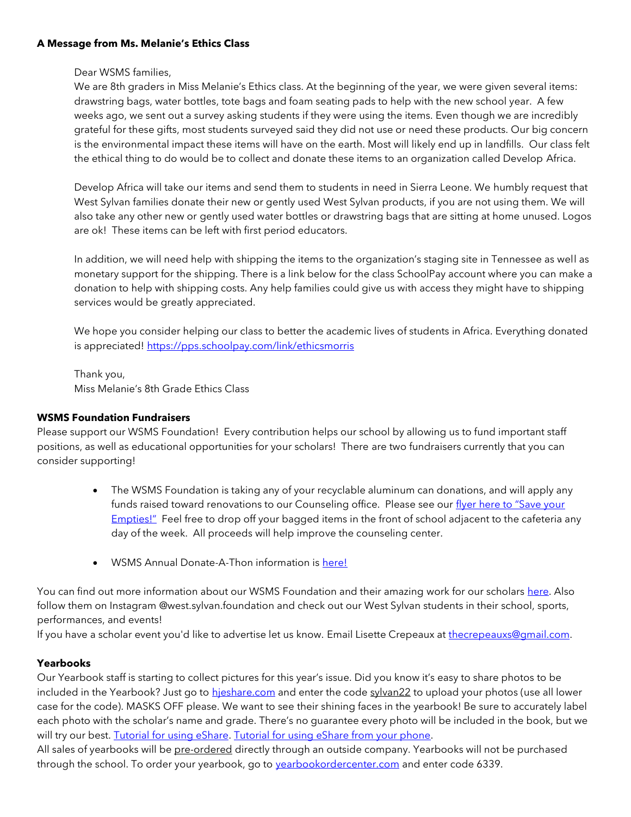### **A Message from Ms. Melanie's Ethics Class**

Dear WSMS families,

We are 8th graders in Miss Melanie's Ethics class. At the beginning of the year, we were given several items: drawstring bags, water bottles, tote bags and foam seating pads to help with the new school year. A few weeks ago, we sent out a survey asking students if they were using the items. Even though we are incredibly grateful for these gifts, most students surveyed said they did not use or need these products. Our big concern is the environmental impact these items will have on the earth. Most will likely end up in landfills. Our class felt the ethical thing to do would be to collect and donate these items to an organization called Develop Africa.

Develop Africa will take our items and send them to students in need in Sierra Leone. We humbly request that West Sylvan families donate their new or gently used West Sylvan products, if you are not using them. We will also take any other new or gently used water bottles or drawstring bags that are sitting at home unused. Logos are ok! These items can be left with first period educators.

In addition, we will need help with shipping the items to the organization's staging site in Tennessee as well as monetary support for the shipping. There is a link below for the class SchoolPay account where you can make a donation to help with shipping costs. Any help families could give us with access they might have to shipping services would be greatly appreciated.

We hope you consider helping our class to better the academic lives of students in Africa. Everything donated is appreciated! <https://pps.schoolpay.com/link/ethicsmorris>

Thank you, Miss Melanie's 8th Grade Ethics Class

## **WSMS Foundation Fundraisers**

Please support our WSMS Foundation! Every contribution helps our school by allowing us to fund important staff positions, as well as educational opportunities for your scholars! There are two fundraisers currently that you can consider supporting!

- The WSMS Foundation is taking any of your recyclable aluminum can donations, and will apply any funds raised toward renovations to our Counseling office. Please see our flyer here to "Save your [Empties!"](https://drive.google.com/file/d/1QXOTJmEblkxG_rK04tEK5aEuwcpa-NT4/view?usp=sharing) Feel free to drop off your bagged items in the front of school adjacent to the cafeteria any day of the week. All proceeds will help improve the counseling center.
- WSMS Annual Donate-A-Thon information is [here!](https://drive.google.com/file/d/1T0ze3mXgCB1RPrT9D9GlBjXWPA_OPBUP/view?usp=sharing)

You can find out more information about our WSMS Foundation and their amazing work for our scholar[s here.](https://www.westsylvanfoundation.com/) Also follow them on Instagram @west.sylvan.foundation and check out our West Sylvan students in their school, sports, performances, and events!

If you have a scholar event you'd like to advertise let us know. Email Lisette Crepeaux at [thecrepeauxs@gmail.com.](mailto:thecrepeauxs@gmail.com)

## **Yearbooks**

Our Yearbook staff is starting to collect pictures for this year's issue. Did you know it's easy to share photos to be included in the Yearbook? Just go to hieshare.com and enter the code sylvan22 to upload your photos (use all lower case for the code). MASKS OFF please. We want to see their shining faces in the yearbook! Be sure to accurately label each photo with the scholar's name and grade. There's no guarantee every photo will be included in the book, but we will try our best. [Tutorial for using eShare.](https://herffjones.wistia.com/medias/h1e7m2ythz) [Tutorial for using eShare from your phone.](https://herffjones.wistia.com/medias/62ap3qbbp3)

All sales of yearbooks will be pre-ordered directly through an outside company. Yearbooks will not be purchased through the school. To order your yearbook, go to **yearbookordercenter.com** and enter code 6339.